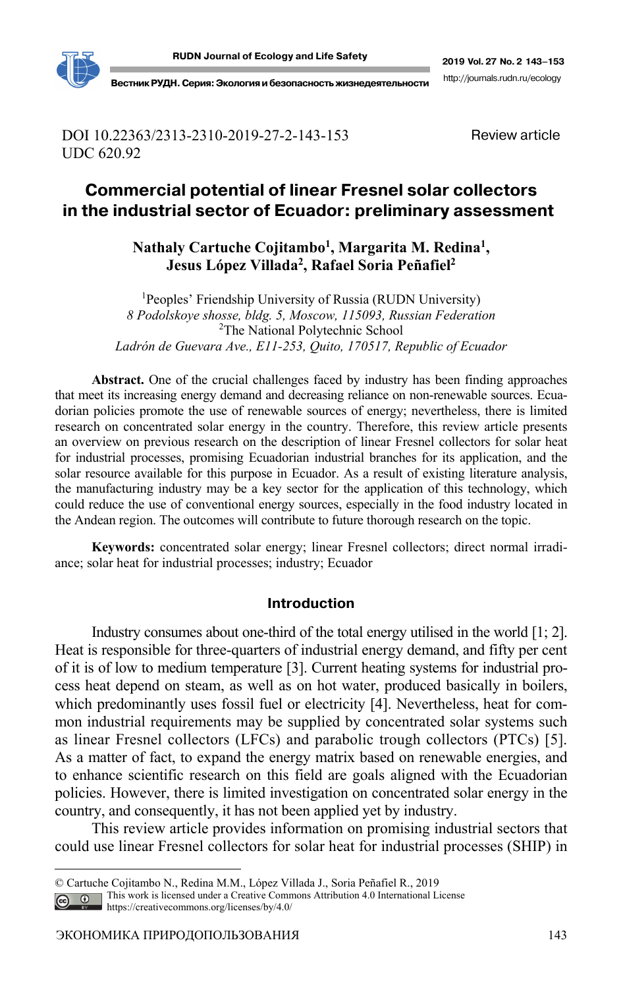

DOI 10.22363/2313-2310-2019-27-2-143-153 UDC 620.92

Review article

# **Commercial potential of linear Fresnel solar collectors in the industrial sector of Ecuador: preliminary assessment**

Nathaly Cartuche Cojitambo<sup>1</sup>, Margarita M. Redina<sup>1</sup>, **Jesus López Villada2, Rafael Soria Peñafiel2**

<sup>1</sup>Peoples' Friendship University of Russia (RUDN University) *8 Podolskoye shosse, bldg. 5, Moscow, 115093, Russian Federation*  <sup>2</sup>The National Polytechnic School *Ladrón de Guevara Ave., E11-253, Quito, 170517, Republic of Ecuador* 

**Abstract.** One of the crucial challenges faced by industry has been finding approaches that meet its increasing energy demand and decreasing reliance on non-renewable sources. Ecuadorian policies promote the use of renewable sources of energy; nevertheless, there is limited research on concentrated solar energy in the country. Therefore, this review article presents an overview on previous research on the description of linear Fresnel collectors for solar heat for industrial processes, promising Ecuadorian industrial branches for its application, and the solar resource available for this purpose in Ecuador. As a result of existing literature analysis, the manufacturing industry may be a key sector for the application of this technology, which could reduce the use of conventional energy sources, especially in the food industry located in the Andean region. The outcomes will contribute to future thorough research on the topic.

**Keywords:** concentrated solar energy; linear Fresnel collectors; direct normal irradiance; solar heat for industrial processes; industry; Ecuador

#### **Introduction**

Industry consumes about one-third of the total energy utilised in the world [1; 2]. Heat is responsible for three-quarters of industrial energy demand, and fifty per cent of it is of low to medium temperature [3]. Current heating systems for industrial process heat depend on steam, as well as on hot water, produced basically in boilers, which predominantly uses fossil fuel or electricity [4]. Nevertheless, heat for common industrial requirements may be supplied by concentrated solar systems such as linear Fresnel collectors (LFCs) and parabolic trough collectors (PTCs) [5]. As a matter of fact, to expand the energy matrix based on renewable energies, and to enhance scientific research on this field are goals aligned with the Ecuadorian policies. However, there is limited investigation on concentrated solar energy in the country, and consequently, it has not been applied yet by industry.

This review article provides information on promising industrial sectors that could use linear Fresnel collectors for solar heat for industrial processes (SHIP) in

 $\overline{a}$ 

<sup>©</sup> Cartuche Cojitambo N., Redina M.M., López Villada J., Soria Peñafiel R., 2019

This work is licensed under a Creative Commons Attribution 4.0 International License

https://creativecommons.org/licenses/by/4.0/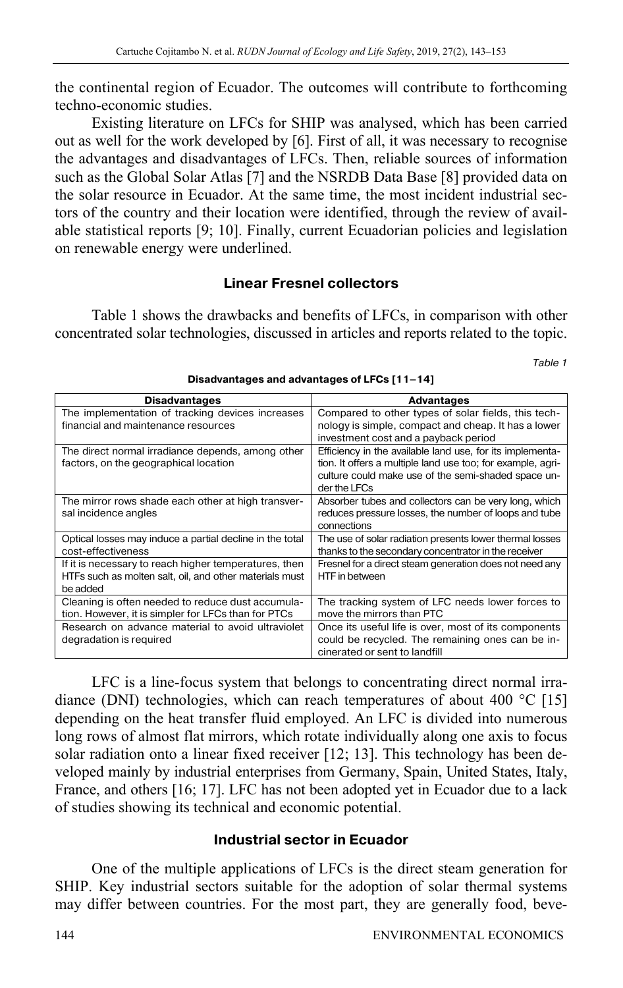the continental region of Ecuador. The outcomes will contribute to forthcoming techno-economic studies.

Existing literature on LFCs for SHIP was analysed, which has been carried out as well for the work developed by [6]. First of all, it was necessary to recognise the advantages and disadvantages of LFCs. Then, reliable sources of information such as the Global Solar Atlas [7] and the NSRDB Data Base [8] provided data on the solar resource in Ecuador. At the same time, the most incident industrial sectors of the country and their location were identified, through the review of available statistical reports [9; 10]. Finally, current Ecuadorian policies and legislation on renewable energy were underlined.

### **Linear Fresnel collectors**

Table 1 shows the drawbacks and benefits of LFCs, in comparison with other concentrated solar technologies, discussed in articles and reports related to the topic.

Table 1

| <b>Disadvantages</b>                                     | <b>Advantages</b>                                           |
|----------------------------------------------------------|-------------------------------------------------------------|
| The implementation of tracking devices increases         | Compared to other types of solar fields, this tech-         |
| financial and maintenance resources                      | nology is simple, compact and cheap. It has a lower         |
|                                                          | investment cost and a payback period                        |
| The direct normal irradiance depends, among other        | Efficiency in the available land use, for its implementa-   |
| factors, on the geographical location                    | tion. It offers a multiple land use too; for example, agri- |
|                                                          | culture could make use of the semi-shaded space un-         |
|                                                          | der the LFCs                                                |
| The mirror rows shade each other at high transver-       | Absorber tubes and collectors can be very long, which       |
| sal incidence angles                                     | reduces pressure losses, the number of loops and tube       |
|                                                          | connections                                                 |
| Optical losses may induce a partial decline in the total | The use of solar radiation presents lower thermal losses    |
| cost-effectiveness                                       | thanks to the secondary concentrator in the receiver        |
| If it is necessary to reach higher temperatures, then    | Fresnel for a direct steam generation does not need any     |
| HTFs such as molten salt, oil, and other materials must  | HTF in between                                              |
| be added                                                 |                                                             |
| Cleaning is often needed to reduce dust accumula-        | The tracking system of LFC needs lower forces to            |
| tion. However, it is simpler for LFCs than for PTCs      | move the mirrors than PTC                                   |
| Research on advance material to avoid ultraviolet        | Once its useful life is over, most of its components        |
| degradation is required                                  | could be recycled. The remaining ones can be in-            |
|                                                          | cinerated or sent to landfill                               |

**Disadvantages and advantages of LFCs [11–14]**

LFC is a line-focus system that belongs to concentrating direct normal irradiance (DNI) technologies, which can reach temperatures of about 400 °C [15] depending on the heat transfer fluid employed. An LFC is divided into numerous long rows of almost flat mirrors, which rotate individually along one axis to focus solar radiation onto a linear fixed receiver [12; 13]. This technology has been developed mainly by industrial enterprises from Germany, Spain, United States, Italy, France, and others [16; 17]. LFC has not been adopted yet in Ecuador due to a lack of studies showing its technical and economic potential.

## **Industrial sector in Ecuador**

One of the multiple applications of LFCs is the direct steam generation for SHIP. Key industrial sectors suitable for the adoption of solar thermal systems may differ between countries. For the most part, they are generally food, beve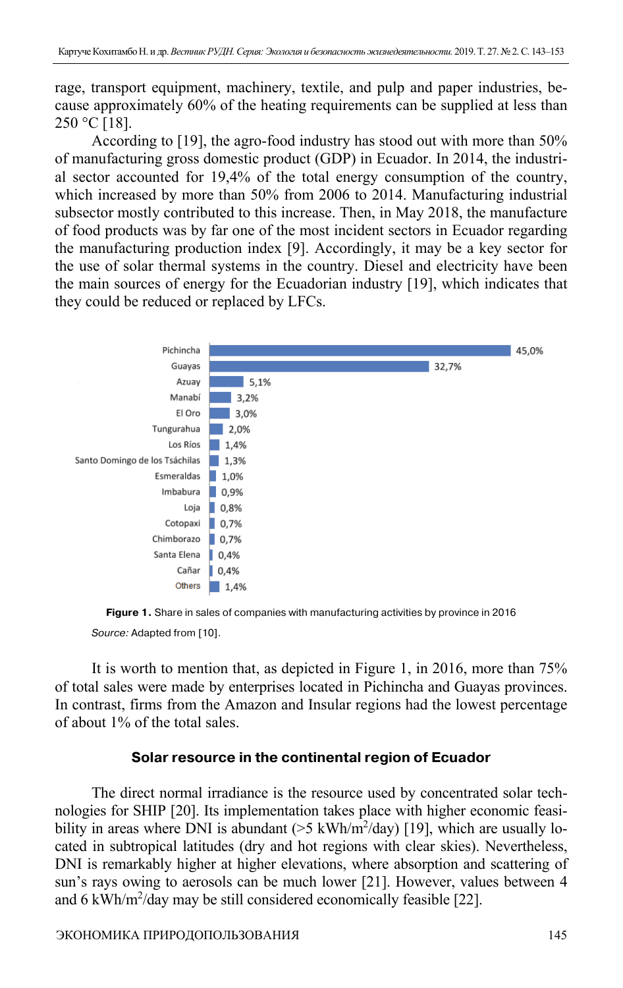rage, transport equipment, machinery, textile, and pulp and paper industries, because approximately 60% of the heating requirements can be supplied at less than  $250 °C$  [18].

According to [19], the agro-food industry has stood out with more than 50% of manufacturing gross domestic product (GDP) in Ecuador. In 2014, the industrial sector accounted for 19,4% of the total energy consumption of the country, which increased by more than 50% from 2006 to 2014. Manufacturing industrial subsector mostly contributed to this increase. Then, in May 2018, the manufacture of food products was by far one of the most incident sectors in Ecuador regarding the manufacturing production index [9]. Accordingly, it may be a key sector for the use of solar thermal systems in the country. Diesel and electricity have been the main sources of energy for the Ecuadorian industry [19], which indicates that they could be reduced or replaced by LFCs.



**Figure 1.** Share in sales of companies with manufacturing activities by province in 2016 Source: Adapted from [10].

It is worth to mention that, as depicted in Figure 1, in 2016, more than 75% of total sales were made by enterprises located in Pichincha and Guayas provinces. In contrast, firms from the Amazon and Insular regions had the lowest percentage of about 1% of the total sales.

#### **Solar resource in the continental region of Ecuador**

The direct normal irradiance is the resource used by concentrated solar technologies for SHIP [20]. Its implementation takes place with higher economic feasibility in areas where DNI is abundant  $(5 \text{ kWh/m}^2/\text{day})$  [19], which are usually located in subtropical latitudes (dry and hot regions with clear skies). Nevertheless, DNI is remarkably higher at higher elevations, where absorption and scattering of sun's rays owing to aerosols can be much lower [21]. However, values between 4 and 6 kWh/m<sup>2</sup>/day may be still considered economically feasible [22].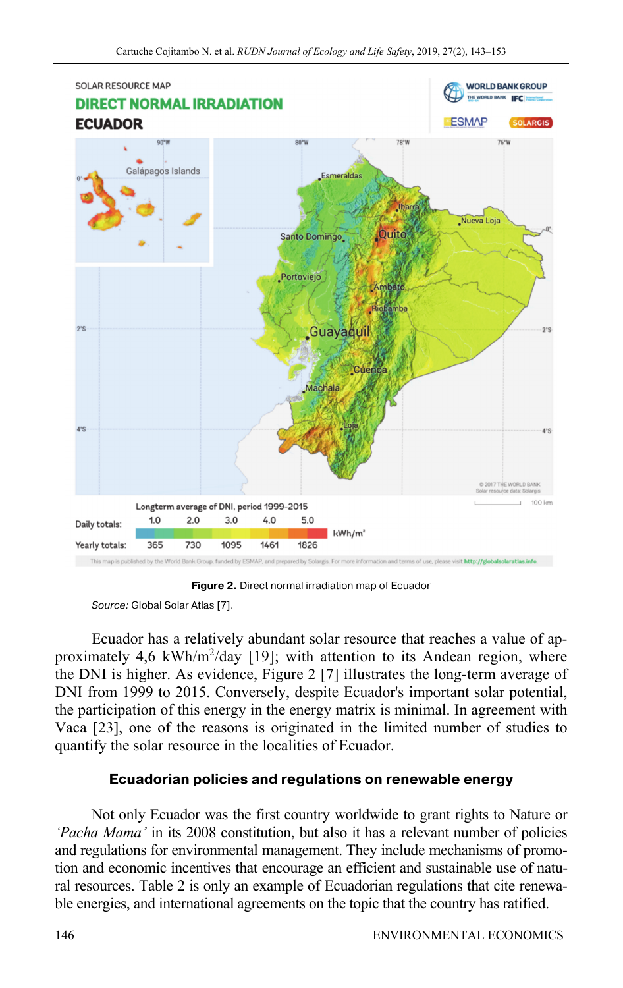

**Figure 2.** Direct normal irradiation map of Ecuador

Ecuador has a relatively abundant solar resource that reaches a value of approximately 4,6 kWh/m<sup>2</sup>/day [19]; with attention to its Andean region, where the DNI is higher. As evidence, Figure 2 [7] illustrates the long-term average of DNI from 1999 to 2015. Conversely, despite Ecuador's important solar potential, the participation of this energy in the energy matrix is minimal. In agreement with Vaca [23], one of the reasons is originated in the limited number of studies to quantify the solar resource in the localities of Ecuador.

## **Ecuadorian policies and regulations on renewable energy**

Not only Ecuador was the first country worldwide to grant rights to Nature or *'Pacha Mama'* in its 2008 constitution, but also it has a relevant number of policies and regulations for environmental management. They include mechanisms of promotion and economic incentives that encourage an efficient and sustainable use of natural resources. Table 2 is only an example of Ecuadorian regulations that cite renewable energies, and international agreements on the topic that the country has ratified.

Source: Global Solar Atlas [7].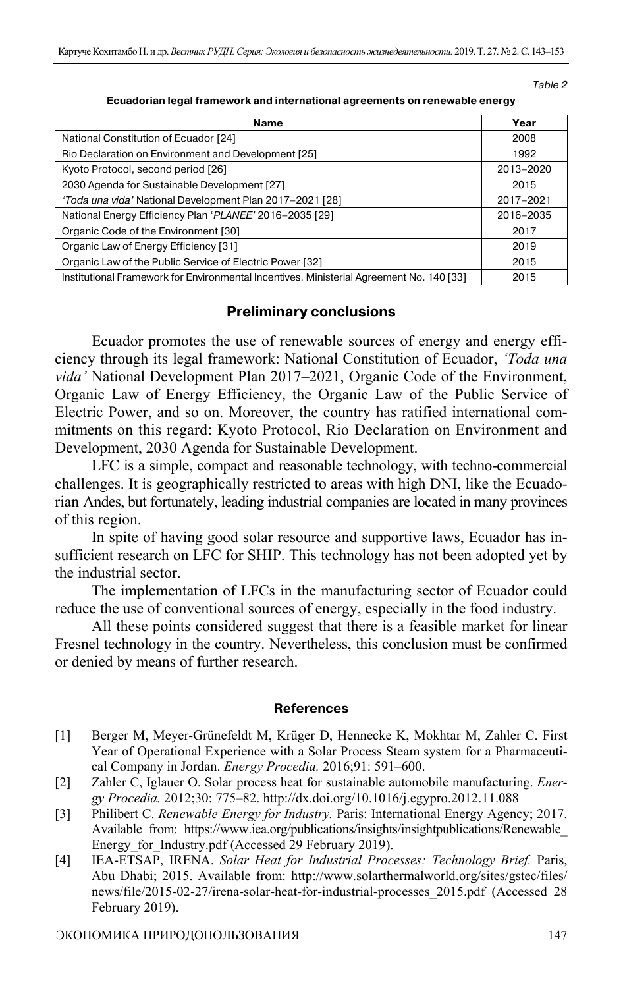Table 2

| Ecuadorian legal framework and international agreements on renewable energy |  |
|-----------------------------------------------------------------------------|--|
|                                                                             |  |

| <b>Name</b>                                                                              | Year      |
|------------------------------------------------------------------------------------------|-----------|
| National Constitution of Ecuador [24]                                                    | 2008      |
| Rio Declaration on Environment and Development [25]                                      | 1992      |
| Kyoto Protocol, second period [26]                                                       | 2013-2020 |
| 2030 Agenda for Sustainable Development [27]                                             | 2015      |
| 'Toda una vida' National Development Plan 2017-2021 [28]                                 | 2017-2021 |
| National Energy Efficiency Plan 'PLANEE' 2016-2035 [29]                                  | 2016-2035 |
| Organic Code of the Environment [30]                                                     | 2017      |
| Organic Law of Energy Efficiency [31]                                                    | 2019      |
| Organic Law of the Public Service of Electric Power [32]                                 | 2015      |
| Institutional Framework for Environmental Incentives. Ministerial Agreement No. 140 [33] | 2015      |

#### **Preliminary conclusions**

Ecuador promotes the use of renewable sources of energy and energy efficiency through its legal framework: National Constitution of Ecuador, *'Toda una vida'* National Development Plan 2017–2021, Organic Code of the Environment, Organic Law of Energy Efficiency, the Organic Law of the Public Service of Electric Power, and so on. Moreover, the country has ratified international commitments on this regard: Kyoto Protocol, Rio Declaration on Environment and Development, 2030 Agenda for Sustainable Development.

LFC is a simple, compact and reasonable technology, with techno-commercial challenges. It is geographically restricted to areas with high DNI, like the Ecuadorian Andes, but fortunately, leading industrial companies are located in many provinces of this region.

In spite of having good solar resource and supportive laws, Ecuador has insufficient research on LFC for SHIP. This technology has not been adopted yet by the industrial sector.

The implementation of LFCs in the manufacturing sector of Ecuador could reduce the use of conventional sources of energy, especially in the food industry.

All these points considered suggest that there is a feasible market for linear Fresnel technology in the country. Nevertheless, this conclusion must be confirmed or denied by means of further research.

#### **References**

- [1] Berger M, Meyer-Grünefeldt M, Krüger D, Hennecke K, Mokhtar M, Zahler C. First Year of Operational Experience with a Solar Process Steam system for a Pharmaceutical Company in Jordan. *Energy Procedia.* 2016;91: 591–600.
- [2] Zahler C, Iglauer O. Solar process heat for sustainable automobile manufacturing. *Energy Procedia.* 2012;30: 775–82. http://dx.doi.org/10.1016/j.egypro.2012.11.088
- [3] Philibert C. *Renewable Energy for Industry.* Paris: International Energy Agency; 2017. Available from: https://www.iea.org/publications/insights/insightpublications/Renewable\_ Energy for Industry.pdf (Accessed 29 February 2019).
- [4] IEA-ETSAP, IRENA. *Solar Heat for Industrial Processes: Technology Brief.* Paris, Abu Dhabi; 2015. Available from: http://www.solarthermalworld.org/sites/gstec/files/ news/file/2015-02-27/irena-solar-heat-for-industrial-processes\_2015.pdf (Accessed 28 February 2019).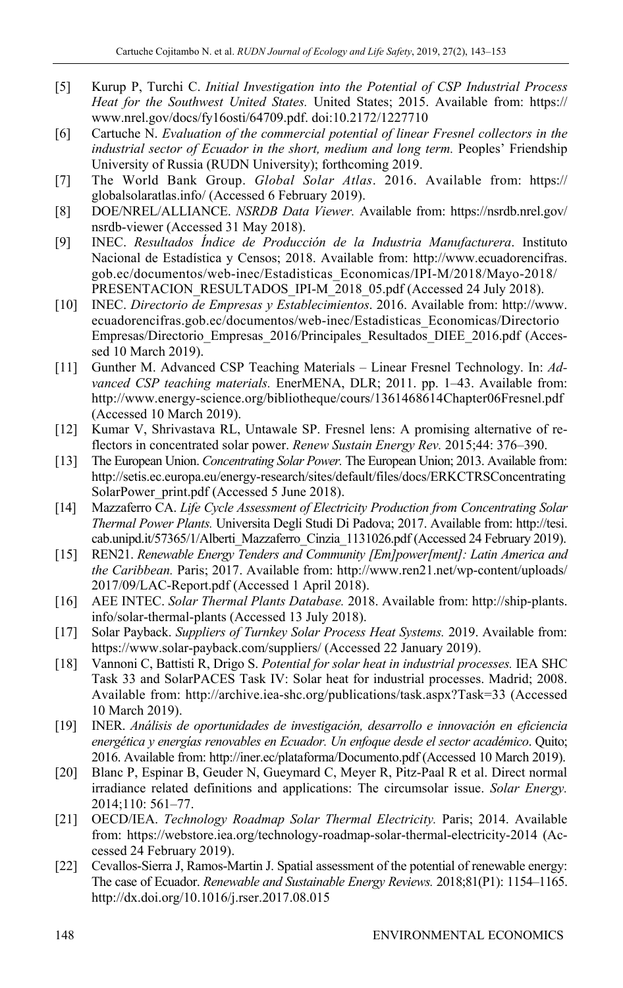- [5] Kurup P, Turchi C. *Initial Investigation into the Potential of CSP Industrial Process Heat for the Southwest United States.* United States; 2015. Available from: https:// www.nrel.gov/docs/fy16osti/64709.pdf. doi:10.2172/1227710
- [6] Cartuche N. *Evaluation of the commercial potential of linear Fresnel collectors in the industrial sector of Ecuador in the short, medium and long term.* Peoples' Friendship University of Russia (RUDN University); forthcoming 2019.
- [7] The World Bank Group. *Global Solar Atlas*. 2016. Available from: https:// globalsolaratlas.info/ (Accessed 6 February 2019).
- [8] DOE/NREL/ALLIANCE. *NSRDB Data Viewer.* Available from: https://nsrdb.nrel.gov/ nsrdb-viewer (Accessed 31 May 2018).
- [9] INEC. *Resultados Índice de Producción de la Industria Manufacturera*. Instituto Nacional de Estadística y Censos; 2018. Available from: http://www.ecuadorencifras. gob.ec/documentos/web-inec/Estadisticas\_Economicas/IPI-M/2018/Mayo-2018/ PRESENTACION\_RESULTADOS\_IPI-M\_2018\_05.pdf (Accessed 24 July 2018).
- [10] INEC. *Directorio de Empresas y Establecimientos*. 2016. Available from: http://www. ecuadorencifras.gob.ec/documentos/web-inec/Estadisticas\_Economicas/Directorio Empresas/Directorio\_Empresas\_2016/Principales\_Resultados\_DIEE\_2016.pdf (Accessed 10 March 2019).
- [11] Gunther M. Advanced CSP Teaching Materials Linear Fresnel Technology. In: *Advanced CSP teaching materials.* EnerMENA, DLR; 2011. pp. 1–43. Available from: http://www.energy-science.org/bibliotheque/cours/1361468614Chapter06Fresnel.pdf (Accessed 10 March 2019).
- [12] Kumar V, Shrivastava RL, Untawale SP. Fresnel lens: A promising alternative of reflectors in concentrated solar power. *Renew Sustain Energy Rev.* 2015;44: 376–390.
- [13] The European Union. *Concentrating Solar Power.* The European Union; 2013. Available from: http://setis.ec.europa.eu/energy-research/sites/default/files/docs/ERKCTRSConcentrating SolarPower\_print.pdf (Accessed 5 June 2018).
- [14] Mazzaferro CA. *Life Cycle Assessment of Electricity Production from Concentrating Solar Thermal Power Plants.* Universita Degli Studi Di Padova; 2017. Available from: http://tesi. cab.unipd.it/57365/1/Alberti\_Mazzaferro\_Cinzia\_1131026.pdf (Accessed 24 February 2019).
- [15] REN21. *Renewable Energy Tenders and Community [Em]power[ment]: Latin America and the Caribbean.* Paris; 2017. Available from: http://www.ren21.net/wp-content/uploads/ 2017/09/LAC-Report.pdf (Accessed 1 April 2018).
- [16] AEE INTEC. *Solar Thermal Plants Database.* 2018. Available from: http://ship-plants. info/solar-thermal-plants (Accessed 13 July 2018).
- [17] Solar Payback. *Suppliers of Turnkey Solar Process Heat Systems.* 2019. Available from: https://www.solar-payback.com/suppliers/ (Accessed 22 January 2019).
- [18] Vannoni C, Battisti R, Drigo S. *Potential for solar heat in industrial processes.* IEA SHC Task 33 and SolarPACES Task IV: Solar heat for industrial processes. Madrid; 2008. Available from: http://archive.iea-shc.org/publications/task.aspx?Task=33 (Accessed 10 March 2019).
- [19] INER. *Análisis de oportunidades de investigación, desarrollo e innovación en eficiencia energética y energías renovables en Ecuador. Un enfoque desde el sector académico*. Quito; 2016. Available from: http://iner.ec/plataforma/Documento.pdf (Accessed 10 March 2019).
- [20] Blanc P, Espinar B, Geuder N, Gueymard C, Meyer R, Pitz-Paal R et al. Direct normal irradiance related definitions and applications: The circumsolar issue. *Solar Energy.* 2014;110: 561–77.
- [21] OECD/IEA. *Technology Roadmap Solar Thermal Electricity.* Paris; 2014. Available from: https://webstore.iea.org/technology-roadmap-solar-thermal-electricity-2014 (Accessed 24 February 2019).
- [22] Cevallos-Sierra J, Ramos-Martin J. Spatial assessment of the potential of renewable energy: The case of Ecuador. *Renewable and Sustainable Energy Reviews.* 2018;81(P1): 1154–1165. http://dx.doi.org/10.1016/j.rser.2017.08.015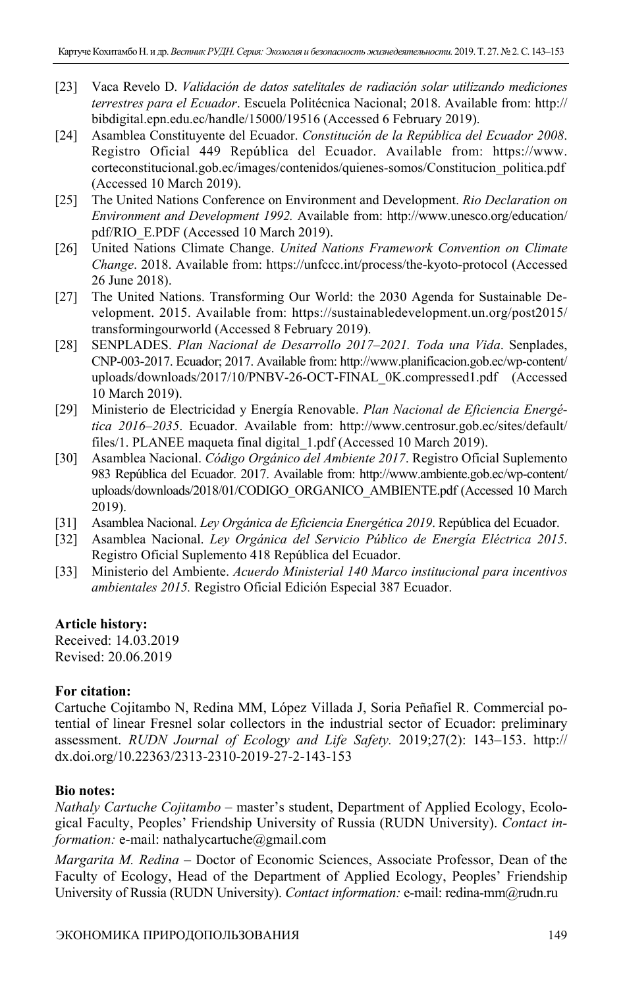- [23] Vaca Revelo D. *Validación de datos satelitales de radiación solar utilizando mediciones terrestres para el Ecuador*. Escuela Politécnica Nacional; 2018. Available from: http:// bibdigital.epn.edu.ec/handle/15000/19516 (Accessed 6 February 2019).
- [24] Asamblea Constituyente del Ecuador. *Constitución de la República del Ecuador 2008*. Registro Oficial 449 República del Ecuador. Available from: https://www. corteconstitucional.gob.ec/images/contenidos/quienes-somos/Constitucion\_politica.pdf (Accessed 10 March 2019).
- [25] The United Nations Conference on Environment and Development. *Rio Declaration on Environment and Development 1992.* Available from: http://www.unesco.org/education/ pdf/RIO\_E.PDF (Accessed 10 March 2019).
- [26] United Nations Climate Change. *United Nations Framework Convention on Climate Change*. 2018. Available from: https://unfccc.int/process/the-kyoto-protocol (Accessed 26 June 2018).
- [27] The United Nations. Transforming Our World: the 2030 Agenda for Sustainable Development. 2015. Available from: https://sustainabledevelopment.un.org/post2015/ transformingourworld (Accessed 8 February 2019).
- [28] SENPLADES. *Plan Nacional de Desarrollo 2017–2021. Toda una Vida*. Senplades, CNP-003-2017. Ecuador; 2017. Available from: http://www.planificacion.gob.ec/wp-content/ uploads/downloads/2017/10/PNBV-26-OCT-FINAL\_0K.compressed1.pdf (Accessed 10 March 2019).
- [29] Ministerio de Electricidad y Energía Renovable. *Plan Nacional de Eficiencia Energética 2016–2035*. Ecuador. Available from: http://www.centrosur.gob.ec/sites/default/ files/1. PLANEE maqueta final digital\_1.pdf (Accessed 10 March 2019).
- [30] Asamblea Nacional. *Código Orgánico del Ambiente 2017*. Registro Oficial Suplemento 983 República del Ecuador. 2017. Available from: http://www.ambiente.gob.ec/wp-content/ uploads/downloads/2018/01/CODIGO\_ORGANICO\_AMBIENTE.pdf (Accessed 10 March 2019).
- [31] Asamblea Nacional. *Ley Orgánica de Eficiencia Energética 2019*. República del Ecuador.
- [32] Asamblea Nacional. *Ley Orgánica del Servicio Público de Energía Eléctrica 2015*. Registro Oficial Suplemento 418 República del Ecuador.
- [33] Ministerio del Ambiente. *Acuerdo Ministerial 140 Marco institucional para incentivos ambientales 2015.* Registro Oficial Edición Especial 387 Ecuador.

## **Article history:**

Received: 14.03.2019 Revised: 20.06.2019

## **For citation:**

Cartuche Cojitambo N, Redina MM, López Villada J, Soria Peñafiel R. Commercial potential of linear Fresnel solar collectors in the industrial sector of Ecuador: preliminary assessment. *RUDN Journal of Ecology and Life Safety.* 2019;27(2): 143–153. http:// dx.doi.org/10.22363/2313-2310-2019-27-2-143-153

## **Bio notes:**

*Nathaly Cartuche Cojitambo* – master's student, Department of Applied Ecology, Ecological Faculty, Peoples' Friendship University of Russia (RUDN University). *Contact information:* e-mail: nathalycartuche@gmail.com

*Margarita M. Redina* – Doctor of Economic Sciences, Associate Professor, Dean of the Faculty of Ecology, Head of the Department of Applied Ecology, Peoples' Friendship University of Russia (RUDN University). *Contact information:* e-mail: redina-mm@rudn.ru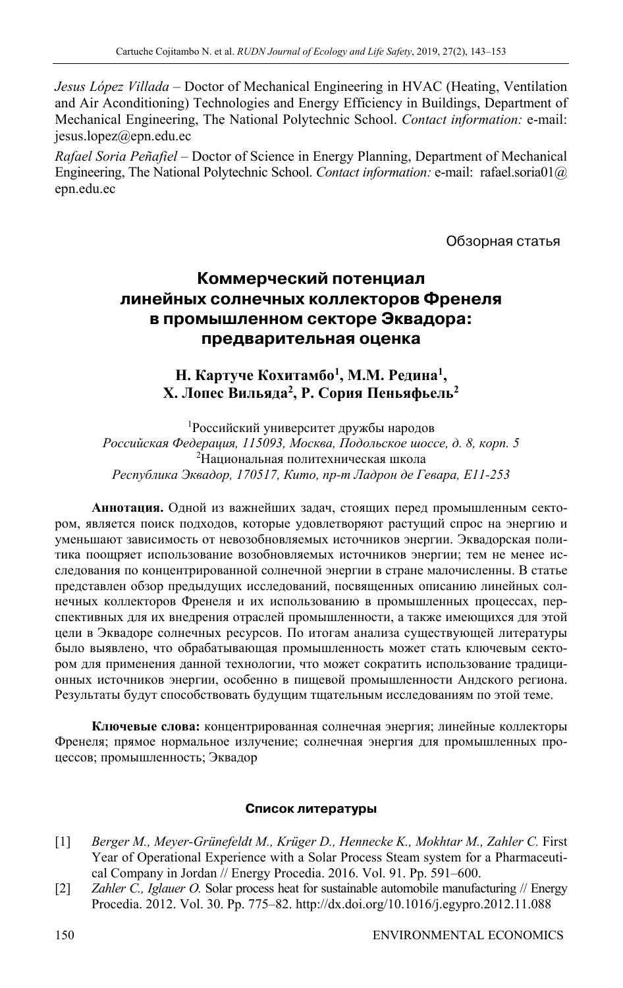*Jesus López Villada* – Doctor of Mechanical Engineering in HVAC (Heating, Ventilation and Air Aconditioning) Technologies and Energy Efficiency in Buildings, Department of Mechanical Engineering, The National Polytechnic School. *Contact information:* e-mail: jesus.lopez@epn.edu.ec

*Rafael Soria Peñafiel* – Doctor of Science in Energy Planning, Department of Mechanical Engineering, The National Polytechnic School. *Contact information:* e-mail: rafael.soria01@ epn.edu.ec

Обзорная статья

# **Коммерческий потенциал линейных солнечных коллекторов Френеля в промышленном секторе Эквадора: предварительная оценка**

## Н. Картуче Кохитамбо<sup>1</sup>, М.М. Редина<sup>1</sup>, **Х. Лопес Вильяда2, Р. Сория Пеньяфьель2**

1 Российский университет дружбы народов *Российская Федерация, 115093, Москва, Подольское шоссе, д. 8, корп. 5*  <sup>2</sup>Национальная политехническая школа *Республика Эквадор, 170517, Кито, пр-т Ладрон де Гевара, E11-253* 

**Аннотация.** Одной из важнейших задач, стоящих перед промышленным сектором, является поиск подходов, которые удовлетворяют растущий спрос на энергию и уменьшают зависимость от невозобновляемых источников энергии. Эквадорская политика поощряет использование возобновляемых источников энергии; тем не менее исследования по концентрированной солнечной энергии в стране малочисленны. В статье представлен обзор предыдущих исследований, посвященных описанию линейных солнечных коллекторов Френеля и их использованию в промышленных процессах, перспективных для их внедрения отраслей промышленности, а также имеющихся для этой цели в Эквадоре солнечных ресурсов. По итогам анализа существующей литературы было выявлено, что обрабатывающая промышленность может стать ключевым сектором для применения данной технологии, что может сократить использование традиционных источников энергии, особенно в пищевой промышленности Андского региона. Результаты будут способствовать будущим тщательным исследованиям по этой теме.

**Ключевые слова:** концентрированная солнечная энергия; линейные коллекторы Френеля; прямое нормальное излучение; солнечная энергия для промышленных процессов; промышленность; Эквадор

#### **Список литературы**

- [1] *Berger M., Meyer-Grünefeldt M., Krüger D., Hennecke K., Mokhtar M., Zahler C.* First Year of Operational Experience with a Solar Process Steam system for a Pharmaceutical Company in Jordan // Energy Procedia. 2016. Vol. 91. Pp. 591–600.
- [2] *Zahler C., Iglauer O.* Solar process heat for sustainable automobile manufacturing // Energy Procedia. 2012. Vol. 30. Pp. 775–82. http://dx.doi.org/10.1016/j.egypro.2012.11.088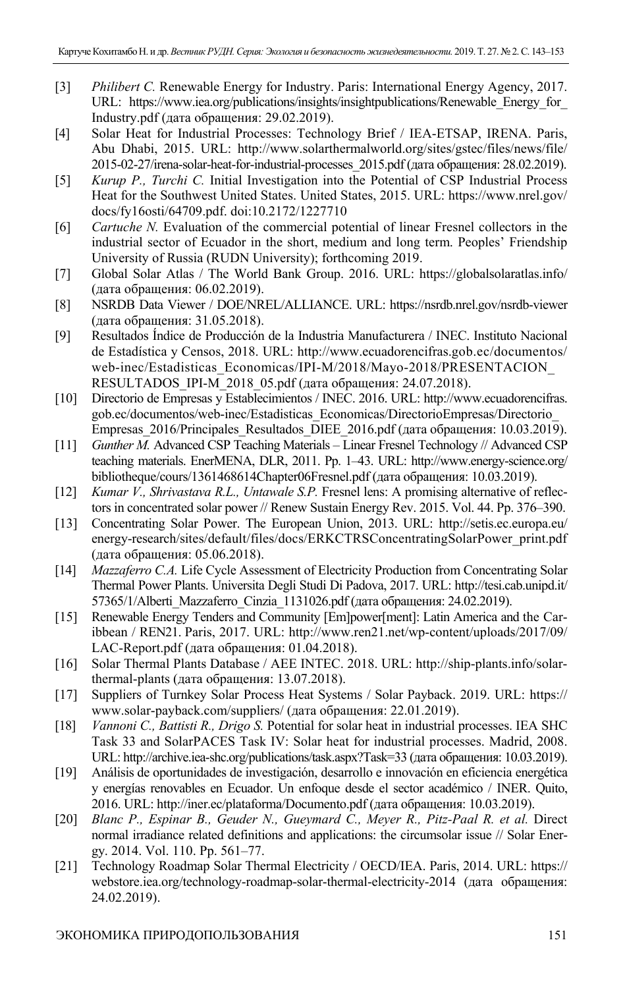- [3] *Philibert C.* Renewable Energy for Industry. Paris: International Energy Agency, 2017. URL: https://www.iea.org/publications/insights/insightpublications/Renewable\_Energy\_for\_ Industry.pdf (дата обращения: 29.02.2019).
- [4] Solar Heat for Industrial Processes: Technology Brief / IEA-ETSAP, IRENA. Paris, Abu Dhabi, 2015. URL: http://www.solarthermalworld.org/sites/gstec/files/news/file/ 2015-02-27/irena-solar-heat-for-industrial-processes\_2015.pdf (дата обращения: 28.02.2019).
- [5] *Kurup P., Turchi C.* Initial Investigation into the Potential of CSP Industrial Process Heat for the Southwest United States. United States, 2015. URL: https://www.nrel.gov/ docs/fy16osti/64709.pdf. doi:10.2172/1227710
- [6] *Cartuche N.* Evaluation of the commercial potential of linear Fresnel collectors in the industrial sector of Ecuador in the short, medium and long term. Peoples' Friendship University of Russia (RUDN University); forthcoming 2019.
- [7] Global Solar Atlas / The World Bank Group. 2016. URL: https://globalsolaratlas.info/ (дата обращения: 06.02.2019).
- [8] NSRDB Data Viewer / DOE/NREL/ALLIANCE. URL: https://nsrdb.nrel.gov/nsrdb-viewer (дата обращения: 31.05.2018).
- [9] Resultados Índice de Producción de la Industria Manufacturera / INEC. Instituto Nacional de Estadística y Censos, 2018. URL: http://www.ecuadorencifras.gob.ec/documentos/ web-inec/Estadisticas\_Economicas/IPI-M/2018/Mayo-2018/PRESENTACION\_ RESULTADOS IPI-М 2018 05.pdf (дата обращения: 24.07.2018).
- [10] Directorio de Empresas y Establecimientos / INEC. 2016. URL: http://www.ecuadorencifras. gob.ec/documentos/web-inec/Estadisticas\_Economicas/DirectorioEmpresas/Directorio\_ Empresas\_2016/Principales\_Resultados\_DIEE\_2016.pdf (дата обращения: 10.03.2019).
- [11] *Gunther M.* Advanced CSP Teaching Materials Linear Fresnel Technology // Advanced CSP teaching materials. EnerMENA, DLR, 2011. Pp. 1–43. URL: http://www.energy-science.org/ bibliotheque/cours/1361468614Chapter06Fresnel.pdf (дата обращения: 10.03.2019).
- [12] *Kumar V., Shrivastava R.L., Untawale S.P.* Fresnel lens: A promising alternative of reflectors in concentrated solar power // Renew Sustain Energy Rev. 2015. Vol. 44. Pp. 376–390.
- [13] Concentrating Solar Power. The European Union, 2013. URL: http://setis.ec.europa.eu/ energy-research/sites/default/files/docs/ERKCTRSConcentratingSolarPower\_print.pdf (дата обращения: 05.06.2018).
- [14] *Mazzaferro C.A.* Life Cycle Assessment of Electricity Production from Concentrating Solar Thermal Power Plants. Universita Degli Studi Di Padova, 2017. URL: http://tesi.cab.unipd.it/ 57365/1/Alberti\_Mazzaferro\_Cinzia\_1131026.pdf (дата обращения: 24.02.2019).
- [15] Renewable Energy Tenders and Community [Em]power[ment]: Latin America and the Caribbean / REN21. Paris, 2017. URL: http://www.ren21.net/wp-content/uploads/2017/09/ LAC-Report.pdf (дата обращения: 01.04.2018).
- [16] Solar Thermal Plants Database / AEE INTEC. 2018. URL: http://ship-plants.info/solarthermal-plants (дата обращения: 13.07.2018).
- [17] Suppliers of Turnkey Solar Process Heat Systems / Solar Payback. 2019. URL: https:// www.solar-payback.com/suppliers/ (дата обращения: 22.01.2019).
- [18] *Vannoni C., Battisti R., Drigo S.* Potential for solar heat in industrial processes. IEA SHC Task 33 and SolarPACES Task IV: Solar heat for industrial processes. Madrid, 2008. URL: http://archive.iea-shc.org/publications/task.aspx?Task=33 (дата обращения: 10.03.2019).
- [19] Análisis de oportunidades de investigación, desarrollo e innovación en eficiencia energética y energías renovables en Ecuador. Un enfoque desde el sector académico / INER. Quito, 2016. URL: http://iner.ec/plataforma/Documento.pdf (дата обращения: 10.03.2019).
- [20] *Blanc P., Espinar B., Geuder N., Gueymard C., Meyer R., Pitz-Paal R. et al.* Direct normal irradiance related definitions and applications: the circumsolar issue // Solar Energy. 2014. Vol. 110. Pp. 561–77.
- [21] Technology Roadmap Solar Thermal Electricity / OECD/IEA. Paris, 2014. URL: https:// webstore.iea.org/technology-roadmap-solar-thermal-electricity-2014 (дата обращения: 24.02.2019).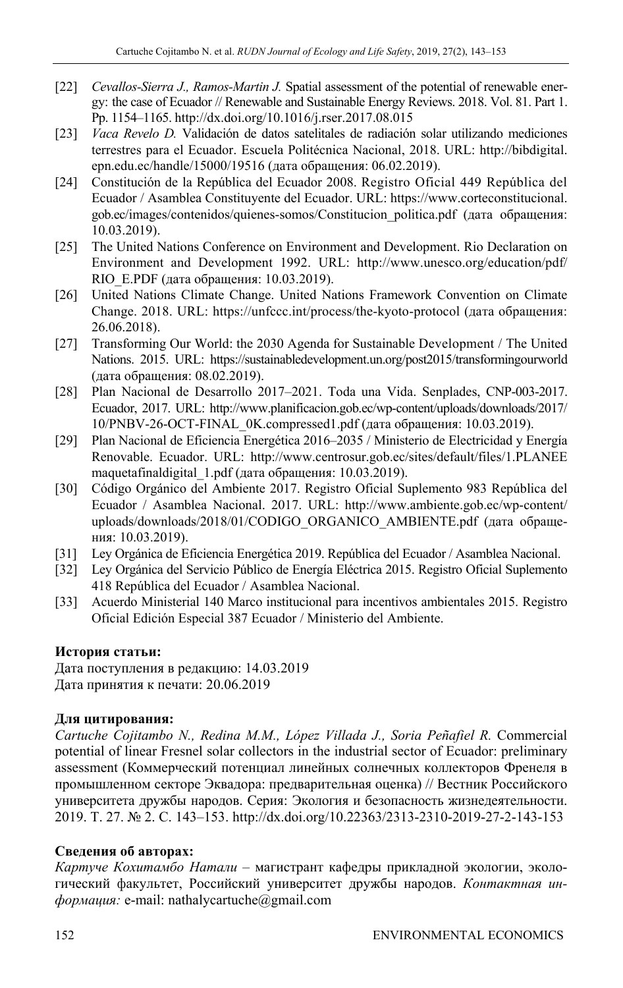- [22] *Cevallos-Sierra J., Ramos-Martin J.* Spatial assessment of the potential of renewable energy: the case of Ecuador // Renewable and Sustainable Energy Reviews. 2018. Vol. 81. Part 1. Pp. 1154–1165. http://dx.doi.org/10.1016/j.rser.2017.08.015
- [23] *Vaca Revelo D.* Validación de datos satelitales de radiación solar utilizando mediciones terrestres para el Ecuador. Escuela Politécnica Nacional, 2018. URL: http://bibdigital. epn.edu.ec/handle/15000/19516 (дата обращения: 06.02.2019).
- [24] Constitución de la República del Ecuador 2008. Registro Oficial 449 República del Ecuador / Asamblea Constituyente del Ecuador. URL: https://www.corteconstitucional. gob.ec/images/contenidos/quienes-somos/Constitucion\_politica.pdf (дата обращения: 10.03.2019).
- [25] The United Nations Conference on Environment and Development. Rio Declaration on Environment and Development 1992. URL: http://www.unesco.org/education/pdf/ RIO\_E.PDF (дата обращения: 10.03.2019).
- [26] United Nations Climate Change. United Nations Framework Convention on Climate Change. 2018. URL: https://unfccc.int/process/the-kyoto-protocol (дата обращения: 26.06.2018).
- [27] Transforming Our World: the 2030 Agenda for Sustainable Development / The United Nations. 2015. URL: https://sustainabledevelopment.un.org/post2015/transformingourworld (дата обращения: 08.02.2019).
- [28] Plan Nacional de Desarrollo 2017–2021. Toda una Vida. Senplades, CNP-003-2017. Ecuador, 2017. URL: http://www.planificacion.gob.ec/wp-content/uploads/downloads/2017/ 10/PNBV-26-OCT-FINAL\_0K.compressed1.pdf (дата обращения: 10.03.2019).
- [29] Plan Nacional de Eficiencia Energética 2016–2035 / Ministerio de Electricidad y Energía Renovable. Ecuador. URL: http://www.centrosur.gob.ec/sites/default/files/1.PLANEE maquetafinaldigital\_1.pdf (дата обращения: 10.03.2019).
- [30] Código Orgánico del Ambiente 2017. Registro Oficial Suplemento 983 República del Ecuador / Asamblea Nacional. 2017. URL: http://www.ambiente.gob.ec/wp-content/ uploads/downloads/2018/01/CODIGO\_ORGANICO\_AMBIENTE.pdf (дата обращения: 10.03.2019).
- [31] Ley Orgánica de Eficiencia Energética 2019. República del Ecuador / Asamblea Nacional.
- [32] Ley Orgánica del Servicio Público de Energía Eléctrica 2015. Registro Oficial Suplemento 418 República del Ecuador / Asamblea Nacional.
- [33] Acuerdo Ministerial 140 Marco institucional para incentivos ambientales 2015. Registro Oficial Edición Especial 387 Ecuador / Ministerio del Ambiente.

## **История статьи:**

Дата поступления в редакцию: 14.03.2019 Дата принятия к печати: 20.06.2019

## **Для цитирования:**

*Cartuche Cojitambo N., Redina M.M., López Villada J., Soria Peñafiel R.* Commercial potential of linear Fresnel solar collectors in the industrial sector of Ecuador: preliminary assessment (Коммерческий потенциал линейных солнечных коллекторов Френеля в промышленном секторе Эквадора: предварительная оценка) // Вестник Российского университета дружбы народов. Серия: Экология и безопасность жизнедеятельности. 2019. Т. 27. № 2. С. 143–153. http://dx.doi.org/10.22363/2313-2310-2019-27-2-143-153

## **Сведения об авторах:**

*Картуче Кохитамбо Натали –* магистрант кафедры прикладной экологии, экологический факультет, Российский университет дружбы народов. *Контактная информация:* e-mail: nathalycartuche@gmail.com